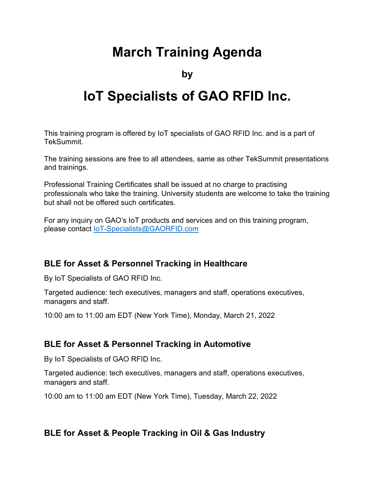# **March Training Agenda**

**by**

# **IoT Specialists of GAO RFID Inc.**

This training program is offered by IoT specialists of GAO RFID Inc. and is a part of TekSummit.

The training sessions are free to all attendees, same as other TekSummit presentations and trainings.

Professional Training Certificates shall be issued at no charge to practising professionals who take the training. University students are welcome to take the training but shall not be offered such certificates.

For any inquiry on GAO's IoT products and services and on this training program, please contact [IoT-Specialists@GAORFID.com](mailto:IoT-Specialists@GAORFID.com)

# **BLE for Asset & Personnel Tracking in Healthcare**

By IoT Specialists of GAO RFID Inc.

Targeted audience: tech executives, managers and staff, operations executives, managers and staff.

10:00 am to 11:00 am EDT (New York Time), Monday, March 21, 2022

# **BLE for Asset & Personnel Tracking in Automotive**

By IoT Specialists of GAO RFID Inc.

Targeted audience: tech executives, managers and staff, operations executives, managers and staff.

10:00 am to 11:00 am EDT (New York Time), Tuesday, March 22, 2022

# **BLE for Asset & People Tracking in Oil & Gas Industry**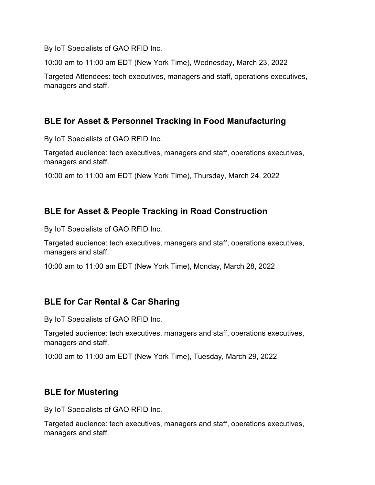By IoT Specialists of GAO RFID Inc.

10:00 am to 11:00 am EDT (New York Time), Wednesday, March 23, 2022

Targeted Attendees: tech executives, managers and staff, operations executives, managers and staff.

# **BLE for Asset & Personnel Tracking in Food Manufacturing**

By IoT Specialists of GAO RFID Inc.

Targeted audience: tech executives, managers and staff, operations executives, managers and staff.

10:00 am to 11:00 am EDT (New York Time), Thursday, March 24, 2022

# **BLE for Asset & People Tracking in Road Construction**

By IoT Specialists of GAO RFID Inc.

Targeted audience: tech executives, managers and staff, operations executives, managers and staff.

10:00 am to 11:00 am EDT (New York Time), Monday, March 28, 2022

# **BLE for Car Rental & Car Sharing**

By IoT Specialists of GAO RFID Inc.

Targeted audience: tech executives, managers and staff, operations executives, managers and staff.

10:00 am to 11:00 am EDT (New York Time), Tuesday, March 29, 2022

# **BLE for Mustering**

By IoT Specialists of GAO RFID Inc.

Targeted audience: tech executives, managers and staff, operations executives, managers and staff.